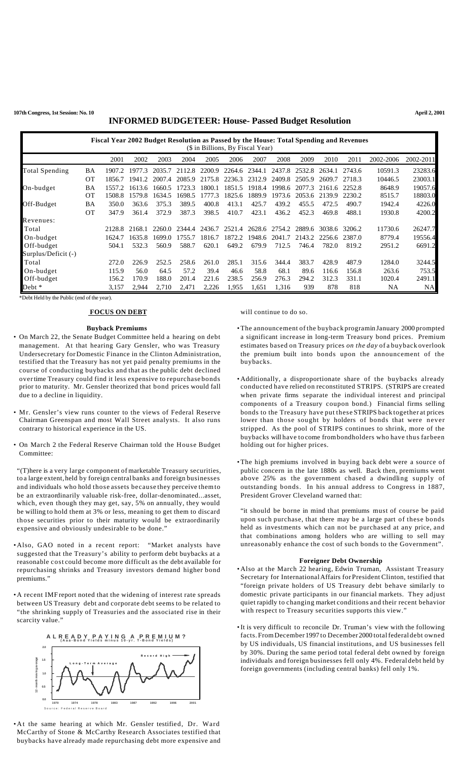| Fiscal Year 2002 Budget Resolution as Passed by the House: Total Spending and Revenues<br>(\$ in Billions, By Fiscal Year) |           |         |        |        |        |        |        |        |               |        |            |        |           |           |
|----------------------------------------------------------------------------------------------------------------------------|-----------|---------|--------|--------|--------|--------|--------|--------|---------------|--------|------------|--------|-----------|-----------|
|                                                                                                                            |           | 2001    | 2002   | 2003   | 2004   | 2005   | 2006   | 2007   | 2008          | 2009   | 2010       | 2011   | 2002-2006 | 2002-2011 |
| Total Spending                                                                                                             | BA        | 1907.2. | 1977.3 | 2035.7 | 2112.8 | 2200.9 | 2264.6 | 2344.1 | 2437.8        | 2532.8 | 2634.1     | 2743.6 | 10591.3   | 23283.6   |
|                                                                                                                            | <b>OT</b> | 1856.7  | 1941.2 | 2007.4 | 2085.9 | 2175.8 | 2236.3 | 2312.9 | 2409.8        | 2505.9 | 2609.7     | 2718.3 | 10446.5   | 23003.1   |
| On-budget                                                                                                                  | ΒA        | 1557.2  | 1613.6 | 1660.5 | 1723.3 | 1800.1 | 1851.5 | 1918.4 | 1998.6        | 2077.3 | 2161.6     | 2252.8 | 8648.9    | 19057.6   |
|                                                                                                                            | <b>OT</b> | 1508.8  | 1579.8 | 1634.5 | 1698.5 | 777.3  | 1825.6 | 1889.9 | 1973.6        | 2053.6 | 21<br>39.9 | 2230.2 | 8515.7    | 18803.0   |
| Off-Budget                                                                                                                 | BA        | 350.0   | 363.6  | 375.3  | 389.5  | 400.8  | 413.1  | 425.7  | 439.2         | 455.5  | 472.5      | 490.7  | 1942.4    | 4226.0    |
|                                                                                                                            | <b>OT</b> | 347.9   | 361.4  | 372.9  | 387.3  | 398.5  | 410.7  | 423.1  | 436.2         | 452.3  | 469.8      | 488.1  | 1930.8    | 4200.2    |
| Revenues:                                                                                                                  |           |         |        |        |        |        |        |        |               |        |            |        |           |           |
| Total                                                                                                                      |           | 2128.8  | 2168.1 | 2260.0 | 2344.4 | 2436.7 | 2521.4 |        | 2628.6 2754.2 | 2889.6 | 3038.6     | 3206.2 | 11730.6   | 26247.7   |
| On-budget                                                                                                                  |           | 1624.7  | 1635.8 | 1699.0 | 1755.7 | 1816.7 | 1872.2 | 1948.6 | 2041.7        | 2143.2 | 2256.6     | 2387.0 | 8779.4    | 19556.4   |
| Off-budget                                                                                                                 |           | 504.1   | 532.3  | 560.9  | 588.7  | 620.1  | 649.2  | 679.9  | 712.5         | 746.4  | 782.0      | 819.2  | 2951.2    | 6691.2    |
| Surplus/Deficit (-)                                                                                                        |           |         |        |        |        |        |        |        |               |        |            |        |           |           |
| Total                                                                                                                      |           | 272.0   | 226.9  | 252.5  | 258.6  | 261.0  | 285.1  | 315.6  | 344.4         | 383.7  | 428.9      | 487.9  | 1284.0    | 3244.5    |
| On-budget                                                                                                                  |           | 115.9   | 56.0   | 64.5   | 57.2   | 39.4   | 46.6   | 58.8   | 68.1          | 89.6   | 116.6      | 156.8  | 263.6     | 753.5     |
| Off-budget                                                                                                                 |           | 156.2   | 170.9  | 188.0  | 201.4  | 221.6  | 238.5  | 256.9  | 276.3         | 294.2  | 312.3      | 331.1  | 1020.4    | 2491.1    |
| Debt *                                                                                                                     |           | 3,157   | 2,944  | 2,710  | 2,471  | 2,226  | 1,955  | 1,651  | 1,316         | 939    | 878        | 818    | <b>NA</b> | <b>NA</b> |

\*Debt Held by the Public (end of the year).

#### **FOCUS ON DEBT**

#### **Buyback Premiums**

- On March 22, the Senate Budget Committee held a hearing on debt management. At that hearing Gary Gensler, who was Treasury Undersecretary forDomestic Finance in the Clinton Administration, testified that the Treasury has not yet paid penalty premiums in the course of conducting buybacks and that as the public debt declined overtime Treasury could find it less expensive to repurchase bonds prior to maturity. Mr. Gensler theorized that bond prices would fall due to a decline in liquidity.
- Mr. Gensler's view runs counter to the views of Federal Reserve Chairman Greenspan and most Wall Street analysts. It also runs contrary to historical experience in the US.
- On March 2 the Federal Reserve Chairman told the House Budget Committee:

"(T)here is a very large component of marketable Treasury securities, to a large extent, held by foreign central banks and foreign businesses and individuals who hold those assets because they perceive themto be an extraordinarily valuable risk-free, dollar-denominated...asset, which, even though they may get, say, 5% on annually, they would be willing to hold them at 3% or less, meaning to get them to discard those securities prior to their maturity would be extraordinarily expensive and obviously undesirable to be done."

- Also, GAO noted in a recent report: "Market analysts have suggested that the Treasury's ability to perform debt buybacks at a reasonable cost could become more difficult as the debt available for repurchasing shrinks and Treasury investors demand higher bond premiums."
- A recent IMF report noted that the widening of interest rate spreads between US Treasury debt and corporate debt seems to be related to "the shrinking supply of Treasuries and the associated rise in their scarcity value."



• At the same hearing at which Mr. Gensler testified, Dr. Ward McCarthy of Stone & McCarthy Research Associates testified that buybacks have already made repurchasing debt more expensive and

### will continue to do so.

- •The announcement of the buyback programin January 2000 prompted a significant increase in long-term Treasury bond prices. Premium estimates based on Treasury prices *on the day* of a buyback overlook the premium built into bonds upon the announcement of the buybacks.
- Additionally, a disproportionate share of the buybacks already conducted have relied on reconstituted STRIPS. (STRIPS are created when private firms separate the individual interest and principal components of a Treasury coupon bond.) Financial firms selling bonds to the Treasury have put these STRIPS back together at prices lower than those sought by holders of bonds that were never stripped. As the pool of STRIPS continues to shrink, more of the buybacks will have to come frombondholders who have thus far been holding out for higher prices.
- •The high premiums involved in buying back debt were a source of public concern in the late 1880s as well. Back then, premiums went above 25% as the government chased a dwindling supply of outstanding bonds. In his annual address to Congress in 1887, President Grover Cleveland warned that:

"it should be borne in mind that premiums must of course be paid upon such purchase, that there may be a large part of these bonds held as investments which can not be purchased at any price, and that combinations among holders who are willing to sell may unreasonably enhance the cost of such bonds to the Government".

### **Foreigner Debt Ownership**

- Also at the March 22 hearing, Edwin Truman, Assistant Treasury Secretary for InternationalAffairs for President Clinton, testified that "foreign private holders of US Treasury debt behave similarly to domestic private participants in our financial markets. They adjust quiet rapidly to changing market conditions and their recent behavior with respect to Treasury securities supports this view."
- •It is very difficult to reconcile Dr. Truman's view with the following facts. FromDecember 1997 to December 2000 totalfederal debt owned by US individuals, US financial institutions, and US businesses fell by 30%. During the same period total federal debt owned by foreign individuals and foreign businesses fell only 4%. Federal debt held by foreign governments (including central banks) fell only 1%.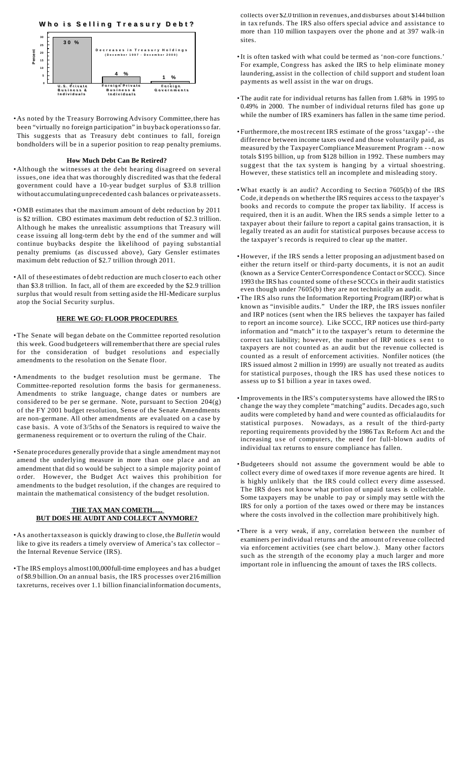



• As noted by the Treasury Borrowing Advisory Committee, there has been "virtually no foreign participation" in buyback operationsso far. This suggests that as Treasury debt continues to fall, foreign bondholders will be in a superior position to reap penalty premiums.

## **How Much Debt Can Be Retired?**

- Although the witnesses at the debt hearing disagreed on several issues, one idea that was thoroughly discredited was that the federal government could have a 10-year budget surplus of \$3.8 trillion without accumulating unprecedented cash balances or private assets.
- OMB estimates that the maximum amount of debt reduction by 2011 is \$2 trillion. CBO estimates maximum debt reduction of \$2.3 trillion. Although he makes the unrealistic assumptions that Treasury will cease issuing all long-term debt by the end of the summer and will continue buybacks despite the likelihood of paying substantial penalty premiums (as discussed above), Gary Gensler estimates maximum debt reduction of \$2.7 trillion through 2011.
- All of these estimates of debt reduction are much closerto each other than \$3.8 trillion. In fact, all of them are exceeded by the \$2.9 trillion surplus that would result from setting aside the HI-Medicare surplus atop the Social Security surplus.

# **HERE WE GO: FLOOR PROCEDURES**

- •The Senate will began debate on the Committee reported resolution this week. Good budgeteers willrememberthat there are special rules for the consideration of budget resolutions and especially amendments to the resolution on the Senate floor.
- Amendments to the budget resolution must be germane. The Committee-reported resolution forms the basis for germaneness. Amendments to strike language, change dates or numbers are considered to be per se germane. Note, pursuant to Section 204(g) of the FY 2001 budget resolution, Sense of the Senate Amendments are non-germane. All other amendments are evaluated on a case by case basis. A vote of 3/5ths of the Senators is required to waive the germaneness requirement or to overturn the ruling of the Chair.
- Senate procedures generally provide that a single amendment maynot amend the underlying measure in more than one place and an amendment that did so would be subject to a simple majority point of o rder. However, the Budget Act waives this prohibition for amendments to the budget resolution, if the changes are required to maintain the mathematical consistency of the budget resolution.

## **THE TAX MAN COMETH...... BUT DOES HE AUDIT AND COLLECT ANYMORE?**

- As anothertaxseason is quickly drawing to close, the *Bulletin* would like to give its readers a timely overview of America's tax collector – the Internal Revenue Service (IRS).
- •The IRS employs almost100,000full-time employees and has a budget of \$8.9 billion.On an annual basis, the IRS processes over 216 million taxreturns, receives over 1.1 billion financialinformation documents,

collects over \$2.0 trillion in revenues, and disburses about \$144 billion in tax refunds. The IRS also offers special advice and assistance to more than 110 million taxpayers over the phone and at 397 walk-in sites.

- •It is often tasked with what could be termed as 'non-core functions.' For example, Congress has asked the IRS to help eliminate money laundering, assist in the collection of child support and student loan payments as well assist in the war on drugs.
- •The audit rate for individual returns has fallen from 1.68% in 1995 to 0.49% in 2000. The number of individual returns filed has gone up while the number of IRS examiners has fallen in the same time period.
- Furthermore,the mostrecent IRS estimate of the gross 'taxgap'- the difference between income taxes owed and those voluntarily paid, as measured by the TaxpayerCompliance Measurement Program - - now totals \$195 billion, up from \$128 billion in 1992. These numbers may suggest that the tax system is hanging by a virtual shoestring. However, these statistics tell an incomplete and misleading story.
- •What exactly is an audit? According to Sectio n 7605(b) of the IRS Code, it depends on whetherthe IRS requires access to the taxpayer's books and records to compute the proper tax lia bility. If access is required, then it is an audit. When the IRS sends a simple letter to a taxpayer about their failure to report a capital gains transaction, it is legally treated as an audit for statistical purposes because access to the taxpayer's records is required to clear up the matter.
- However, if the IRS sends a letter proposing an adjustment based on either the return itself or third-party documents, it is not an audit (known as a Service CenterCorrespondence Contact or SCCC). Since 1993 the IRS has counted some of these SCCCs in their audit statistics even though under 7605(b) they are not technically an audit.
- •The IRS also runs the Information Reporting Program(IRP) or what is known as "invisible audits." Under the IRP, the IRS issues nonfiler and IRP notices (sent when the IRS believes the taxpayer has failed to report an income source). Like SCCC, IRP notices use third-party information and "match" it to the taxpayer's return to determine the correct tax liability; however, the number of IRP notices sent to taxpayers are not counted as an audit but the revenue collected is counted as a result of enforcement activities. Nonfiler notices (the IRS issued almost 2 million in 1999) are usually not treated as audits for statistical purposes, though the IRS has used these notices to assess up to \$1 billion a year in taxes owed.
- •Improvements in the IRS's computersystems have allowed the IRS to change the way they complete "matching" audits. Decades ago, such audits were completed by hand and were counted as officialaudits for statistical purposes. Nowadays, as a result of the third-party reporting requirements provided by the 1986 Tax Reform Act and the increasing use of computers, the need for full-blown audits of individual tax returns to ensure compliance has fallen.
- •Budgeteers should not assume the government would be able to collect every dime of owed taxes if more revenue agents are hired. It is highly unlikely that the IRS could collect every dime assessed. The IRS does not know what portion of unpaid taxes is collectable. Some taxpayers may be unable to pay or simply may settle with the IRS for only a portion of the taxes owed or there may be instances where the costs involved in the collection mare prohibitively high.
- •There is a very weak, if any, correlation between the number of examiners perindividual returns and the amount of revenue collected via enforcement activities (see chart below.). Many other factors such as the strength of the economy play a much larger and more important role in influencing the amount of taxes the IRS collects.